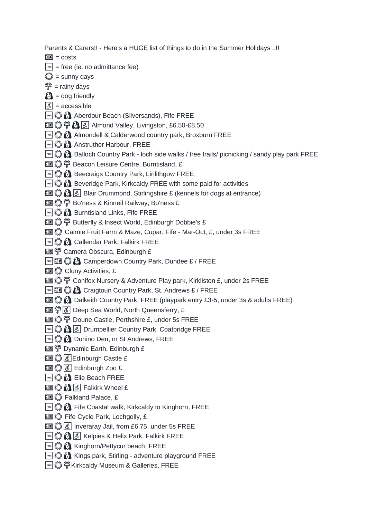Parents & Carers!! - Here's a HUGE list of things to do in the Summer Holidays ..!!

- $\boxed{2}$  = costs
- $F_{\text{ref}}$  = free (ie. no admittance fee)
- $\binom{24}{3}$  = sunny days
- $\frac{\partial \mathfrak{B}}{\partial y}$  = rainy days
- $\mathbf{\Omega}$  = dog friendly
- $\vec{a}$  = accessible
- **Example 1**, Aberdour Beach (Silversands), Fife FREE
- ☀️☔️♿️ Almond Valley, Livingston, £6.50-£8.50
- **FREE**  $\mathbb{C}$  Almondell & Calderwood country park, Broxburn FREE
- **B** Anstruther Harbour, FREE
- **Balloch Country Park loch side walks / tree trails/ picnicking / sandy play park FREE**
- **• Seacon Leisure Centre, Burntisland, £**
- **BEE**  $\mathbb{S}$  Beecraigs Country Park, Linlithgow FREE
- **Example 2.3** Beveridge Park, Kirkcaldy FREE with some paid for activities
- **E**  $\mathbb{Z}$   $\mathbb{R}$   $\mathbb{R}$  Blair Drummond, Stirlingshire £ (kennels for dogs at entrance)
- ☀️☔️ Bo'ness & Kinneil Railway, Bo'ness £
- **EREE**  $\bigcirc$  Burntisland Links, Fife FREE
- **II**  $\{ \}$   $\{ \}$  <sup> $\{ \}$ </sup> Butterfly & Insect World, Edinburgh Dobbie's £
- **III 卷 Cairnie Fruit Farm & Maze, Cupar, Fife Mar-Oct, £, under 3s FREE**
- **EREE** & **Callendar Park, Falkirk FREE**
- ☔️ Camera Obscura, Edinburgh £
- **ERE**  $\mathbb{Z}$   $\mathbb{R}$  Camperdown Country Park, Dundee £ / FREE
- **图卷 Cluny Activities, £**
- ☀️☔️ Conifox Nursery & Adventure Play park, Kirkliston £, under 2s FREE
- **FREE** CONSTANDING COUNTRY PARK, St. Andrews £ / FREE
- **III ① A** Dalkeith Country Park, FREE (playpark entry £3-5, under 3s & adults FREE)
- **TI**  $\mathbb{S}^{\mathbb{S}}$   $\mathbb{S}$  Deep Sea World, North Queensferry, £
- **II**  $\binom{m}{k}$   $\binom{m}{k}$  Doune Castle, Perthshire £, under 5s FREE
- **Example 1**  $\mathbb{Z}$   $\mathbb{R}$   $\mathbb{R}$   $\mathbb{R}$  Drumpellier Country Park, Coatbridge FREE
- **Example 2.3 Dunino Den, nr St Andrews, FREE**
- ☔️ Dynamic Earth, Edinburgh £
- **国登局日**dinburgh Castle £
- 国登8 6 Edinburgh Zoo £
- **Example 2.3 CM** Elie Beach FREE
- **国卷图6 Falkirk Wheel £**
- **图 卷 Falkland Palace, £**
- **FREE**  $\mathbb{Z}$  Fife Coastal walk, Kirkcaldy to Kinghorn, FREE
- **国卷** Fife Cycle Park, Lochgelly, £
- **II**  $\binom{2}{3}$   $\boxed{3}$  Inveraray Jail, from £6.75, under 5s FREE
- **Example 1** Kelpies & Helix Park, Falkirk FREE
- **Example 12 Kinghorn/Pettycur beach, FREE**
- **FREE**  $\mathbb{Z}$  Kings park, Stirling adventure playground FREE
- **FREE**  $\mathbb{C}^*$   $\mathbb{C}^*$   $\mathbb{C}^*$  Kirkcaldy Museum & Galleries, FREE